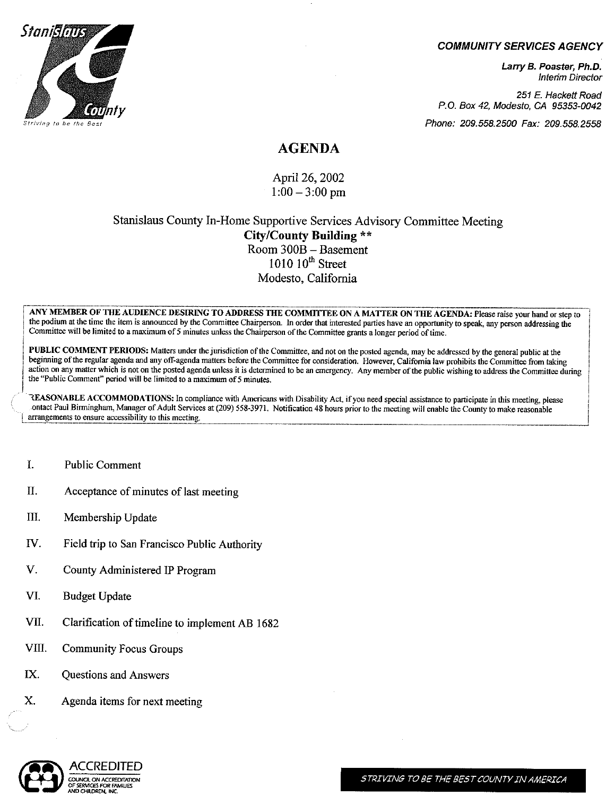

#### **COMMUNITY SERVICES AGENCY**

Larry B. Poaster, Ph.D. **Interim Director** 

251 E. Hackett Road P.O. Box 42, Modesto, CA 95353-0042

Phone: 209.558.2500 Fax: 209.558.2558

#### **AGENDA**

April 26, 2002  $1:00 - 3:00$  pm

#### Stanislaus County In-Home Supportive Services Advisory Committee Meeting **City/County Building \*\*** Room  $300B -$ Basement<br>1010  $10^{th}$  Street Modesto, California

ANY MEMBER OF THE AUDIENCE DESIRING TO ADDRESS THE COMMITTEE ON A MATTER ON THE AGENDA: Please raise your hand or step to the podium at the time the item is announced by the Committee Chairperson. In order that interested parties have an opportunity to speak, any person addressing the Committee will be limited to a maximum of 5 minutes unless the Chairperson of the Committee grants a longer period of time.

PUBLIC COMMENT PERIODS: Matters under the jurisdiction of the Committee, and not on the posted agenda, may be addressed by the general public at the beginning of the regular agenda and any off-agenda matters before the Committee for consideration. However, California law prohibits the Committee from taking action on any matter which is not on the posted agenda unless it is determined to be an emergency. Any member of the public wishing to address the Committee during the "Public Comment" period will be limited to a maximum of 5 minutes.

REASONABLE ACCOMMODATIONS: In compliance with Americans with Disability Act, if you need special assistance to participate in this meeting, please ontact Paul Birmingham, Manager of Adult Services at (209) 558-3971. Notification 48 hours prior to the meeting will enable the County to make reasonable arrangements to ensure accessibility to this meeting.

- L. **Public Comment**
- Π. Acceptance of minutes of last meeting
- $\mathbf{m}$ . Membership Update
- IV. Field trip to San Francisco Public Authority
- V. County Administered IP Program
- VI. **Budget Update**
- VII. Clarification of timeline to implement AB 1682
- VIII. **Community Focus Groups**
- IX. **Questions and Answers**
- X. Agenda items for next meeting

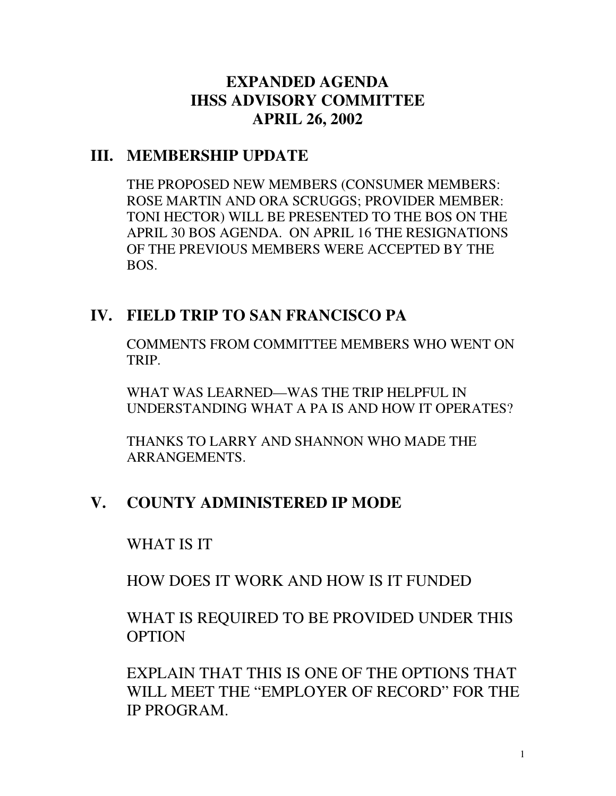# **EXPANDED AGENDA IHSS ADVISORY COMMITTEE APRIL 26, 2002**

## **III. MEMBERSHIP UPDATE**

THE PROPOSED NEW MEMBERS (CONSUMER MEMBERS: ROSE MARTIN AND ORA SCRUGGS; PROVIDER MEMBER: TONI HECTOR) WILL BE PRESENTED TO THE BOS ON THE APRIL 30 BOS AGENDA. ON APRIL 16 THE RESIGNATIONS OF THE PREVIOUS MEMBERS WERE ACCEPTED BY THE BOS.

# **IV. FIELD TRIP TO SAN FRANCISCO PA**

COMMENTS FROM COMMITTEE MEMBERS WHO WENT ON TRIP.

WHAT WAS LEARNED—WAS THE TRIP HELPFUL IN UNDERSTANDING WHAT A PA IS AND HOW IT OPERATES?

THANKS TO LARRY AND SHANNON WHO MADE THE ARRANGEMENTS.

# **V. COUNTY ADMINISTERED IP MODE**

### WHAT IS IT

HOW DOES IT WORK AND HOW IS IT FUNDED

WHAT IS REQUIRED TO BE PROVIDED UNDER THIS OPTION

EXPLAIN THAT THIS IS ONE OF THE OPTIONS THAT WILL MEET THE "EMPLOYER OF RECORD" FOR THE IP PROGRAM.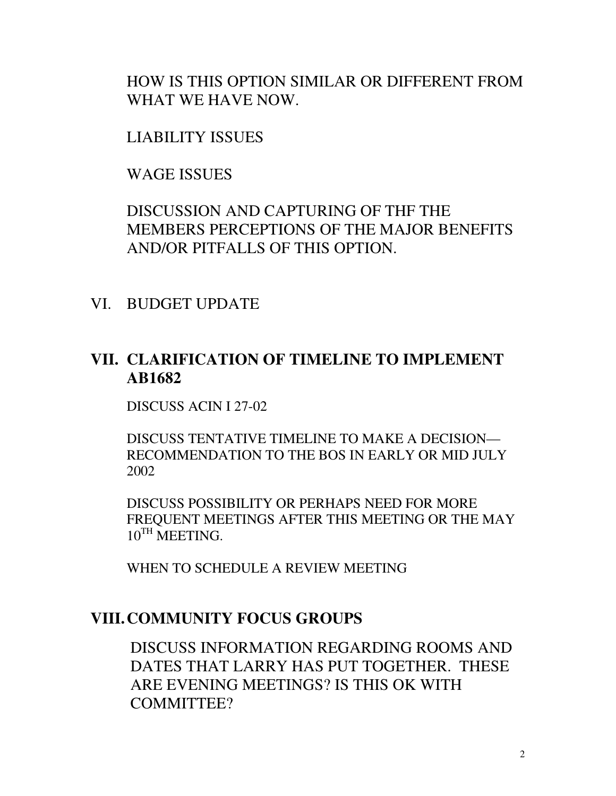HOW IS THIS OPTION SIMILAR OR DIFFERENT FROM WHAT WE HAVE NOW.

LIABILITY ISSUES

WAGE ISSUES

DISCUSSION AND CAPTURING OF THF THE MEMBERS PERCEPTIONS OF THE MAJOR BENEFITS AND/OR PITFALLS OF THIS OPTION.

VI. BUDGET UPDATE

## **VII. CLARIFICATION OF TIMELINE TO IMPLEMENT AB1682**

DISCUSS ACIN I 27-02

DISCUSS TENTATIVE TIMELINE TO MAKE A DECISION— RECOMMENDATION TO THE BOS IN EARLY OR MID JULY 2002

DISCUSS POSSIBILITY OR PERHAPS NEED FOR MORE FREQUENT MEETINGS AFTER THIS MEETING OR THE MAY  $10^{TH}$  MEETING.

WHEN TO SCHEDULE A REVIEW MEETING

#### **VIII. COMMUNITY FOCUS GROUPS**

DISCUSS INFORMATION REGARDING ROOMS AND DATES THAT LARRY HAS PUT TOGETHER. THESE ARE EVENING MEETINGS? IS THIS OK WITH COMMITTEE?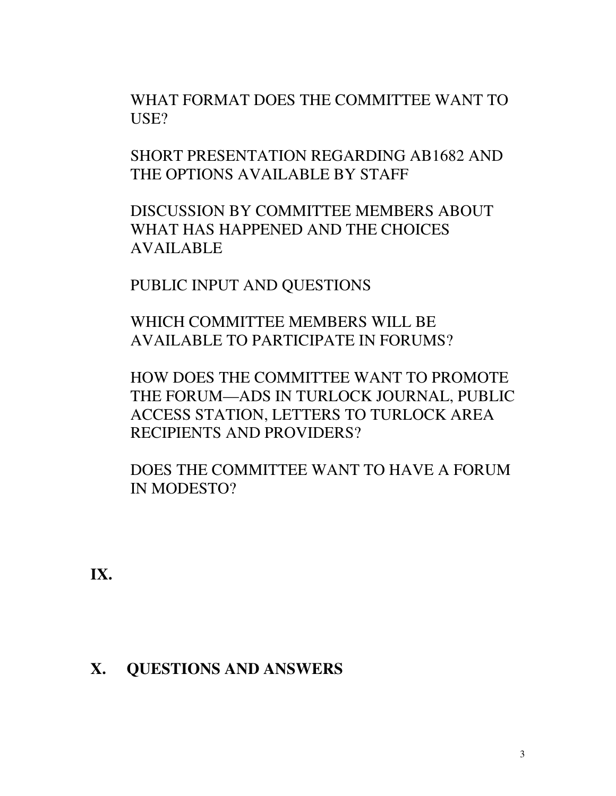WHAT FORMAT DOES THE COMMITTEE WANT TO USE?

SHORT PRESENTATION REGARDING AB1682 AND THE OPTIONS AVAILABLE BY STAFF

DISCUSSION BY COMMITTEE MEMBERS ABOUT WHAT HAS HAPPENED AND THE CHOICES AVAILABLE

PUBLIC INPUT AND QUESTIONS

WHICH COMMITTEE MEMBERS WILL BE AVAILABLE TO PARTICIPATE IN FORUMS?

HOW DOES THE COMMITTEE WANT TO PROMOTE THE FORUM—ADS IN TURLOCK JOURNAL, PUBLIC ACCESS STATION, LETTERS TO TURLOCK AREA RECIPIENTS AND PROVIDERS?

DOES THE COMMITTEE WANT TO HAVE A FORUM IN MODESTO?

**IX.** 

### **X. QUESTIONS AND ANSWERS**